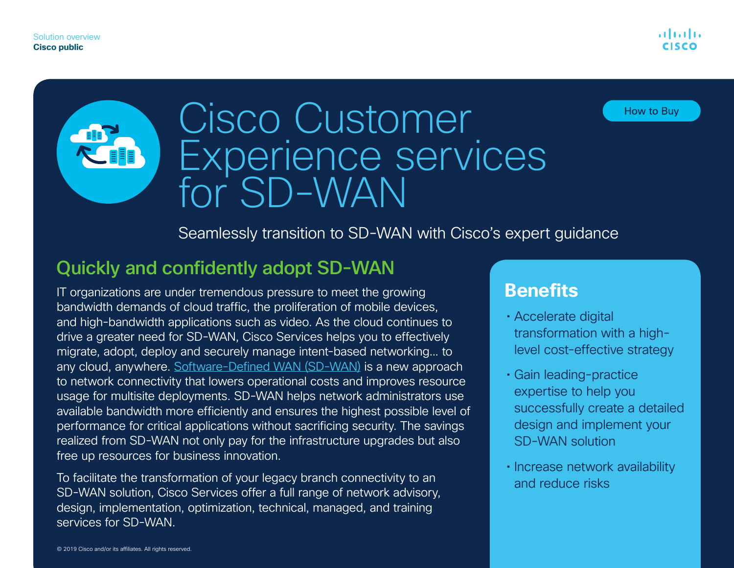#### How to Buy

# **LEER**

# Cisco Customer Experience services for SD-WAN

#### Seamlessly transition to SD-WAN with Cisco's expert guidance

# Quickly and confidently adopt SD-WAN

IT organizations are under tremendous pressure to meet the growing bandwidth demands of cloud traffic, the proliferation of mobile devices, and high-bandwidth applications such as video. As the cloud continues to drive a greater need for SD-WAN, Cisco Services helps you to effectively migrate, adopt, deploy and securely manage intent-based networking... to any cloud, anywhere. [Software-Defined WAN \(SD-WAN\)](https://www.cisco.com/c/en/us/solutions/enterprise-networks/sd-wan/index.html) is a new approach to network connectivity that lowers operational costs and improves resource usage for multisite deployments. SD-WAN helps network administrators use available bandwidth more efficiently and ensures the highest possible level of performance for critical applications without sacrificing security. The savings realized from SD-WAN not only pay for the infrastructure upgrades but also free up resources for business innovation.

To facilitate the transformation of your legacy branch connectivity to an SD-WAN solution, Cisco Services offer a full range of network advisory, design, implementation, optimization, technical, managed, and training services for SD-WAN.

# **Benefits**

- Accelerate digital transformation with a highlevel cost-effective strategy
- Gain leading-practice expertise to help you successfully create a detailed design and implement your SD-WAN solution
- Increase network availability and reduce risks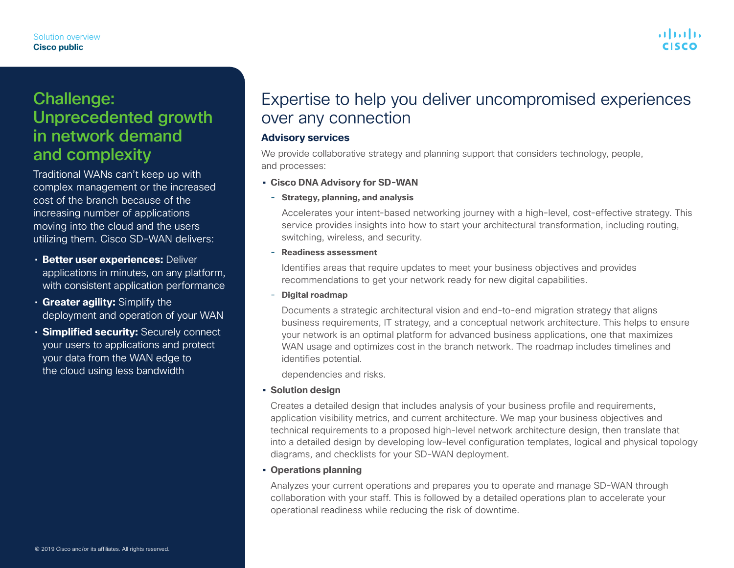# Challenge: Unprecedented growth in network demand and complexity

Traditional WANs can't keep up with complex management or the increased cost of the branch because of the increasing number of applications moving into the cloud and the users utilizing them. Cisco SD-WAN delivers:

- **Better user experiences:** Deliver applications in minutes, on any platform, with consistent application performance
- **Greater agility:** Simplify the deployment and operation of your WAN
- **Simplified security:** Securely connect your users to applications and protect your data from the WAN edge to the cloud using less bandwidth

# Expertise to help you deliver uncompromised experiences over any connection

#### **Advisory services**

We provide collaborative strategy and planning support that considers technology, people, and processes:

- **• Cisco DNA Advisory for SD-WAN**
	- **Strategy, planning, and analysis**

Accelerates your intent-based networking journey with a high-level, cost-effective strategy. This service provides insights into how to start your architectural transformation, including routing, switching, wireless, and security.

- **Readiness assessment**

Identifies areas that require updates to meet your business objectives and provides recommendations to get your network ready for new digital capabilities.

- **Digital roadmap**

Documents a strategic architectural vision and end-to-end migration strategy that aligns business requirements, IT strategy, and a conceptual network architecture. This helps to ensure your network is an optimal platform for advanced business applications, one that maximizes WAN usage and optimizes cost in the branch network. The roadmap includes timelines and identifies potential.

dependencies and risks.

**• Solution design**

Creates a detailed design that includes analysis of your business profile and requirements, application visibility metrics, and current architecture. We map your business objectives and technical requirements to a proposed high-level network architecture design, then translate that into a detailed design by developing low-level configuration templates, logical and physical topology diagrams, and checklists for your SD-WAN deployment.

#### **• Operations planning**

Analyzes your current operations and prepares you to operate and manage SD-WAN through collaboration with your staff. This is followed by a detailed operations plan to accelerate your operational readiness while reducing the risk of downtime.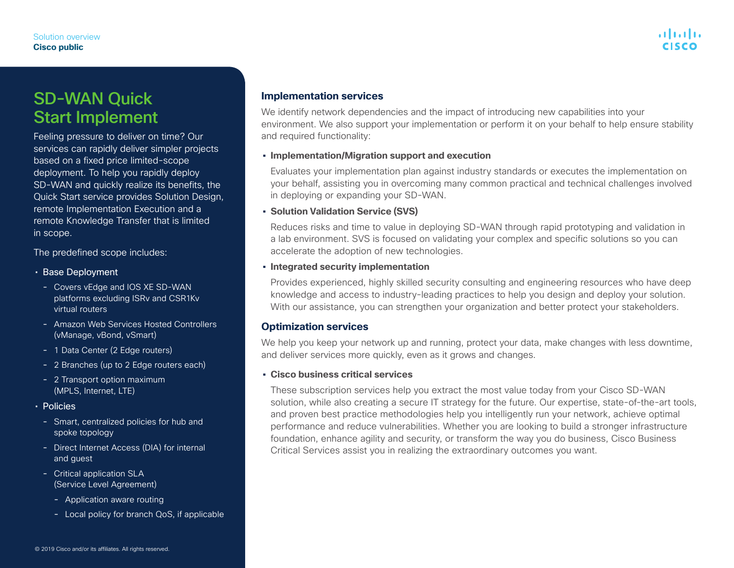# atnato

## SD-WAN Quick Start Implement

Feeling pressure to deliver on time? Our services can rapidly deliver simpler projects based on a fixed price limited-scope deployment. To help you rapidly deploy SD-WAN and quickly realize its benefits, the Quick Start service provides Solution Design, remote Implementation Execution and a remote Knowledge Transfer that is limited in scope.

The predefined scope includes:

- Base Deployment
	- Covers vEdge and IOS XE SD-WAN platforms excluding ISRv and CSR1Kv virtual routers
	- Amazon Web Services Hosted Controllers (vManage, vBond, vSmart)
	- 1 Data Center (2 Edge routers)
	- 2 Branches (up to 2 Edge routers each)
	- 2 Transport option maximum (MPLS, Internet, LTE)
- Policies
	- Smart, centralized policies for hub and spoke topology
	- Direct Internet Access (DIA) for internal and guest
	- Critical application SLA (Service Level Agreement)
		- Application aware routing
		- Local policy for branch QoS, if applicable

We identify network dependencies and the impact of introducing new capabilities into your environment. We also support your implementation or perform it on your behalf to help ensure stability and required functionality:

#### **• Implementation/Migration support and execution**

Evaluates your implementation plan against industry standards or executes the implementation on your behalf, assisting you in overcoming many common practical and technical challenges involved in deploying or expanding your SD-WAN.

#### **• Solution Validation Service (SVS)**

Reduces risks and time to value in deploying SD-WAN through rapid prototyping and validation in a lab environment. SVS is focused on validating your complex and specific solutions so you can accelerate the adoption of new technologies.

#### **• Integrated security implementation**

Provides experienced, highly skilled security consulting and engineering resources who have deep knowledge and access to industry-leading practices to help you design and deploy your solution. With our assistance, you can strengthen your organization and better protect your stakeholders.

#### **Optimization services**

We help you keep your network up and running, protect your data, make changes with less downtime, and deliver services more quickly, even as it grows and changes.

#### **• Cisco business critical services**

These subscription services help you extract the most value today from your Cisco SD-WAN solution, while also creating a secure IT strategy for the future. Our expertise, state-of-the-art tools, and proven best practice methodologies help you intelligently run your network, achieve optimal performance and reduce vulnerabilities. Whether you are looking to build a stronger infrastructure foundation, enhance agility and security, or transform the way you do business, Cisco Business Critical Services assist you in realizing the extraordinary outcomes you want.